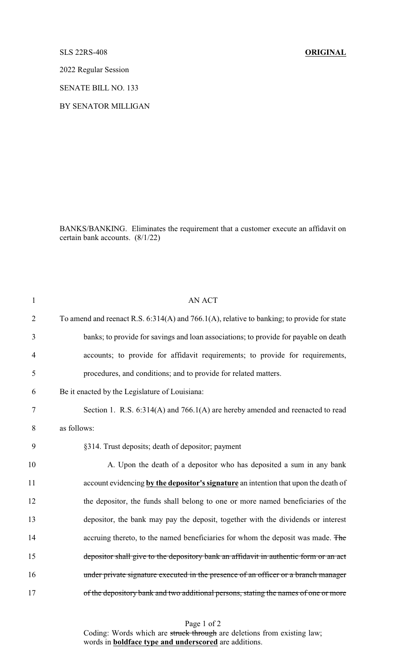## SLS 22RS-408 **ORIGINAL**

2022 Regular Session

SENATE BILL NO. 133

BY SENATOR MILLIGAN

BANKS/BANKING. Eliminates the requirement that a customer execute an affidavit on certain bank accounts. (8/1/22)

| $\mathbf{1}$   | <b>AN ACT</b>                                                                                |  |
|----------------|----------------------------------------------------------------------------------------------|--|
| $\overline{2}$ | To amend and reenact R.S. $6:314(A)$ and 766.1(A), relative to banking; to provide for state |  |
| 3              | banks; to provide for savings and loan associations; to provide for payable on death         |  |
| $\overline{4}$ | accounts; to provide for affidavit requirements; to provide for requirements,                |  |
| 5              | procedures, and conditions; and to provide for related matters.                              |  |
| 6              | Be it enacted by the Legislature of Louisiana:                                               |  |
| $\tau$         | Section 1. R.S. 6:314(A) and 766.1(A) are hereby amended and reenacted to read               |  |
| 8              | as follows:                                                                                  |  |
| 9              | §314. Trust deposits; death of depositor; payment                                            |  |
| 10             | A. Upon the death of a depositor who has deposited a sum in any bank                         |  |
| 11             | account evidencing by the depositor's signature an intention that upon the death of          |  |
| 12             | the depositor, the funds shall belong to one or more named beneficiaries of the              |  |
| 13             | depositor, the bank may pay the deposit, together with the dividends or interest             |  |
| 14             | accruing thereto, to the named beneficiaries for whom the deposit was made. The              |  |
| 15             | depositor shall give to the depository bank an affidavit in authentic form or an act         |  |
| 16             | under private signature executed in the presence of an officer or a branch manager           |  |
| 17             | of the depository bank and two additional persons, stating the names of one or more          |  |
|                |                                                                                              |  |

Page 1 of 2

Coding: Words which are struck through are deletions from existing law; words in **boldface type and underscored** are additions.